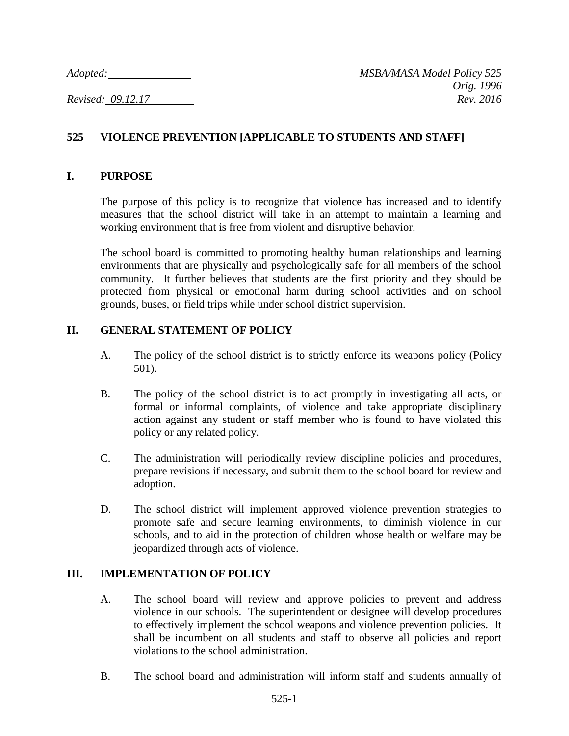# **525 VIOLENCE PREVENTION [APPLICABLE TO STUDENTS AND STAFF]**

### **I. PURPOSE**

The purpose of this policy is to recognize that violence has increased and to identify measures that the school district will take in an attempt to maintain a learning and working environment that is free from violent and disruptive behavior.

The school board is committed to promoting healthy human relationships and learning environments that are physically and psychologically safe for all members of the school community. It further believes that students are the first priority and they should be protected from physical or emotional harm during school activities and on school grounds, buses, or field trips while under school district supervision.

## **II. GENERAL STATEMENT OF POLICY**

- A. The policy of the school district is to strictly enforce its weapons policy (Policy 501).
- B. The policy of the school district is to act promptly in investigating all acts, or formal or informal complaints, of violence and take appropriate disciplinary action against any student or staff member who is found to have violated this policy or any related policy.
- C. The administration will periodically review discipline policies and procedures, prepare revisions if necessary, and submit them to the school board for review and adoption.
- D. The school district will implement approved violence prevention strategies to promote safe and secure learning environments, to diminish violence in our schools, and to aid in the protection of children whose health or welfare may be jeopardized through acts of violence.

## **III. IMPLEMENTATION OF POLICY**

- A. The school board will review and approve policies to prevent and address violence in our schools. The superintendent or designee will develop procedures to effectively implement the school weapons and violence prevention policies. It shall be incumbent on all students and staff to observe all policies and report violations to the school administration.
- B. The school board and administration will inform staff and students annually of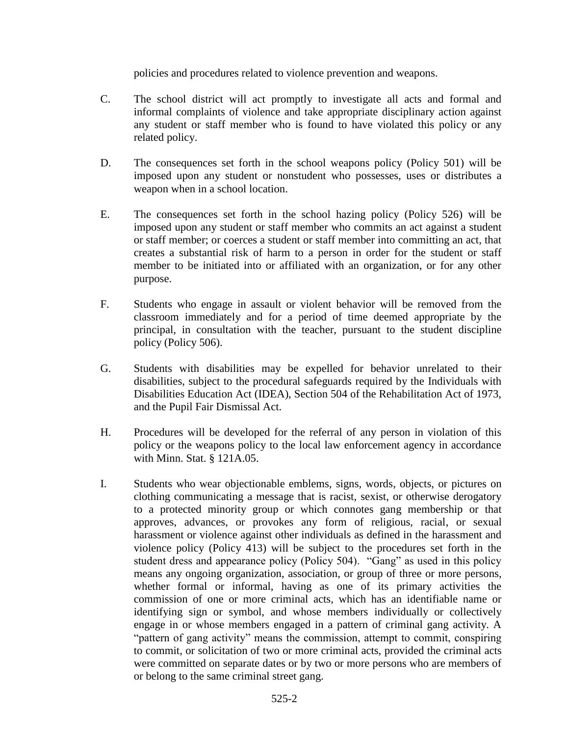policies and procedures related to violence prevention and weapons.

- C. The school district will act promptly to investigate all acts and formal and informal complaints of violence and take appropriate disciplinary action against any student or staff member who is found to have violated this policy or any related policy.
- D. The consequences set forth in the school weapons policy (Policy 501) will be imposed upon any student or nonstudent who possesses, uses or distributes a weapon when in a school location.
- E. The consequences set forth in the school hazing policy (Policy 526) will be imposed upon any student or staff member who commits an act against a student or staff member; or coerces a student or staff member into committing an act, that creates a substantial risk of harm to a person in order for the student or staff member to be initiated into or affiliated with an organization, or for any other purpose.
- F. Students who engage in assault or violent behavior will be removed from the classroom immediately and for a period of time deemed appropriate by the principal, in consultation with the teacher, pursuant to the student discipline policy (Policy 506).
- G. Students with disabilities may be expelled for behavior unrelated to their disabilities, subject to the procedural safeguards required by the Individuals with Disabilities Education Act (IDEA), Section 504 of the Rehabilitation Act of 1973, and the Pupil Fair Dismissal Act.
- H. Procedures will be developed for the referral of any person in violation of this policy or the weapons policy to the local law enforcement agency in accordance with Minn. Stat. § 121A.05.
- I. Students who wear objectionable emblems, signs, words, objects, or pictures on clothing communicating a message that is racist, sexist, or otherwise derogatory to a protected minority group or which connotes gang membership or that approves, advances, or provokes any form of religious, racial, or sexual harassment or violence against other individuals as defined in the harassment and violence policy (Policy 413) will be subject to the procedures set forth in the student dress and appearance policy (Policy 504). "Gang" as used in this policy means any ongoing organization, association, or group of three or more persons, whether formal or informal, having as one of its primary activities the commission of one or more criminal acts, which has an identifiable name or identifying sign or symbol, and whose members individually or collectively engage in or whose members engaged in a pattern of criminal gang activity. A "pattern of gang activity" means the commission, attempt to commit, conspiring to commit, or solicitation of two or more criminal acts, provided the criminal acts were committed on separate dates or by two or more persons who are members of or belong to the same criminal street gang.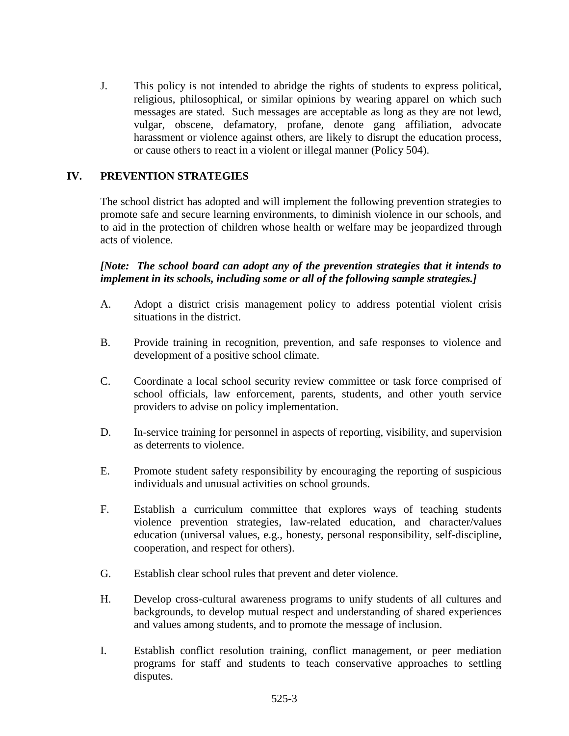J. This policy is not intended to abridge the rights of students to express political, religious, philosophical, or similar opinions by wearing apparel on which such messages are stated. Such messages are acceptable as long as they are not lewd, vulgar, obscene, defamatory, profane, denote gang affiliation, advocate harassment or violence against others, are likely to disrupt the education process, or cause others to react in a violent or illegal manner (Policy 504).

## **IV. PREVENTION STRATEGIES**

The school district has adopted and will implement the following prevention strategies to promote safe and secure learning environments, to diminish violence in our schools, and to aid in the protection of children whose health or welfare may be jeopardized through acts of violence.

*[Note: The school board can adopt any of the prevention strategies that it intends to implement in its schools, including some or all of the following sample strategies.]*

- A. Adopt a district crisis management policy to address potential violent crisis situations in the district.
- B. Provide training in recognition, prevention, and safe responses to violence and development of a positive school climate.
- C. Coordinate a local school security review committee or task force comprised of school officials, law enforcement, parents, students, and other youth service providers to advise on policy implementation.
- D. In-service training for personnel in aspects of reporting, visibility, and supervision as deterrents to violence.
- E. Promote student safety responsibility by encouraging the reporting of suspicious individuals and unusual activities on school grounds.
- F. Establish a curriculum committee that explores ways of teaching students violence prevention strategies, law-related education, and character/values education (universal values, e.g., honesty, personal responsibility, self-discipline, cooperation, and respect for others).
- G. Establish clear school rules that prevent and deter violence.
- H. Develop cross-cultural awareness programs to unify students of all cultures and backgrounds, to develop mutual respect and understanding of shared experiences and values among students, and to promote the message of inclusion.
- I. Establish conflict resolution training, conflict management, or peer mediation programs for staff and students to teach conservative approaches to settling disputes.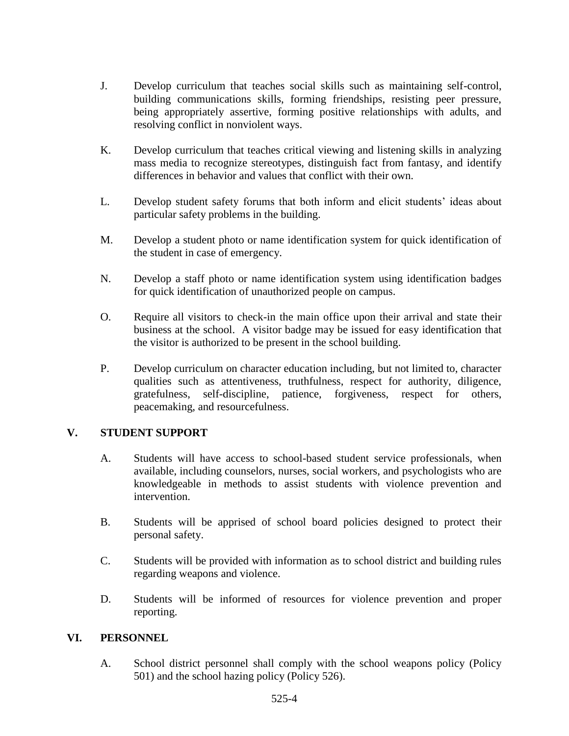- J. Develop curriculum that teaches social skills such as maintaining self-control, building communications skills, forming friendships, resisting peer pressure, being appropriately assertive, forming positive relationships with adults, and resolving conflict in nonviolent ways.
- K. Develop curriculum that teaches critical viewing and listening skills in analyzing mass media to recognize stereotypes, distinguish fact from fantasy, and identify differences in behavior and values that conflict with their own.
- L. Develop student safety forums that both inform and elicit students' ideas about particular safety problems in the building.
- M. Develop a student photo or name identification system for quick identification of the student in case of emergency.
- N. Develop a staff photo or name identification system using identification badges for quick identification of unauthorized people on campus.
- O. Require all visitors to check-in the main office upon their arrival and state their business at the school. A visitor badge may be issued for easy identification that the visitor is authorized to be present in the school building.
- P. Develop curriculum on character education including, but not limited to, character qualities such as attentiveness, truthfulness, respect for authority, diligence, gratefulness, self-discipline, patience, forgiveness, respect for others, peacemaking, and resourcefulness.

## **V. STUDENT SUPPORT**

- A. Students will have access to school-based student service professionals, when available, including counselors, nurses, social workers, and psychologists who are knowledgeable in methods to assist students with violence prevention and intervention.
- B. Students will be apprised of school board policies designed to protect their personal safety.
- C. Students will be provided with information as to school district and building rules regarding weapons and violence.
- D. Students will be informed of resources for violence prevention and proper reporting.

## **VI. PERSONNEL**

A. School district personnel shall comply with the school weapons policy (Policy 501) and the school hazing policy (Policy 526).